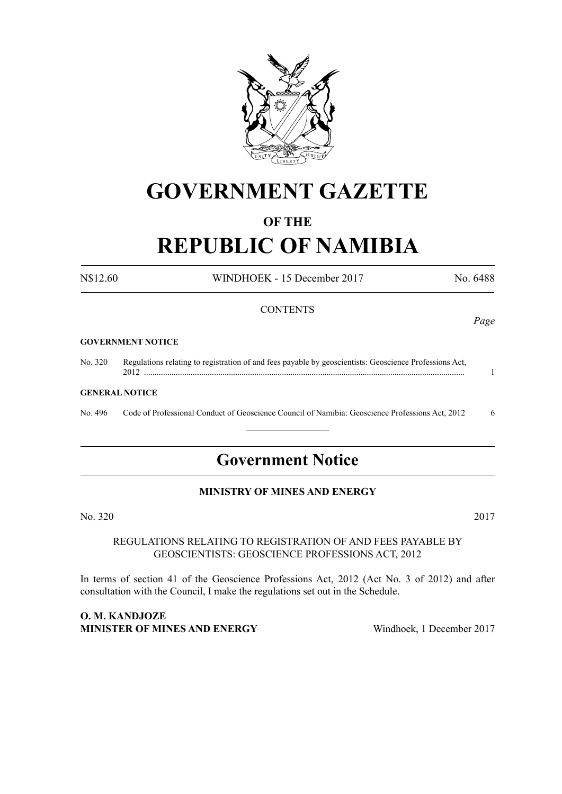

# **GOVERNMENT GAZETTE**

# **OF THE**

# **REPUBLIC OF NAMIBIA**

N\$12.60 WINDHOEK - 15 December 2017 No. 6488

# **CONTENTS**

#### **GOVERNMENT NOTICE**

No. 320 Regulations relating to registration of and fees payable by geoscientists: Geoscience Professions Act, 2012 ....................................................................................................................................................... 1

#### **GENERAL NOTICE**

No. 496 Code of Professional Conduct of Geoscience Council of Namibia: Geoscience Professions Act, 2012 6  $\frac{1}{2}$ 

# **Government Notice**

# **MINISTRY OF MINES AND ENERGY**

No. 320 2017

#### REGULATIONS RELATING TO REGISTRATION OF AND FEES PAYABLE BY GEOSCIENTISTS: GEOSCIENCE PROFESSIONS ACT, 2012

In terms of section 41 of the Geoscience Professions Act, 2012 (Act No. 3 of 2012) and after consultation with the Council, I make the regulations set out in the Schedule.

# **O. M. Kandjoze Minister of Mines and Energy** Windhoek, 1 December 2017

*Page*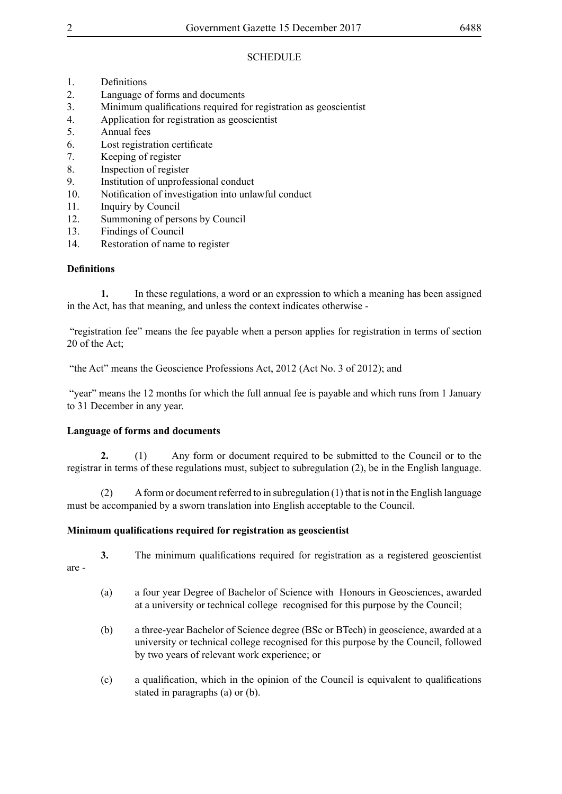# **SCHEDULE**

- 1. Definitions
- 2. Language of forms and documents
- 3. Minimum qualifications required for registration as geoscientist
- 4. Application for registration as geoscientist<br>5 Annual fees
- 5. Annual fees
- 6. Lost registration certificate
- 7. Keeping of register
- 8. Inspection of register
- 9. Institution of unprofessional conduct
- 10. Notification of investigation into unlawful conduct
- 11. Inquiry by Council
- 12. Summoning of persons by Council
- 13. Findings of Council
- 14. Restoration of name to register

# **Definitions**

**1.** In these regulations, a word or an expression to which a meaning has been assigned in the Act, has that meaning, and unless the context indicates otherwise -

 "registration fee" means the fee payable when a person applies for registration in terms of section 20 of the Act;

"the Act" means the Geoscience Professions Act, 2012 (Act No. 3 of 2012); and

"year" means the 12 months for which the full annual fee is payable and which runs from 1 January to 31 December in any year.

# **Language of forms and documents**

**2.** (1) Any form or document required to be submitted to the Council or to the registrar in terms of these regulations must, subject to subregulation (2), be in the English language.

(2) A form or document referred to in subregulation (1) that is not in the English language must be accompanied by a sworn translation into English acceptable to the Council.

# **Minimum qualifications required for registration as geoscientist**

- **3.** The minimum qualifications required for registration as a registered geoscientist
- are -
- (a) a four year Degree of Bachelor of Science with Honours in Geosciences, awarded at a university or technical college recognised for this purpose by the Council;
- (b) a three-year Bachelor of Science degree (BSc or BTech) in geoscience, awarded at a university or technical college recognised for this purpose by the Council, followed by two years of relevant work experience; or
- (c) a qualification, which in the opinion of the Council is equivalent to qualifications stated in paragraphs (a) or (b).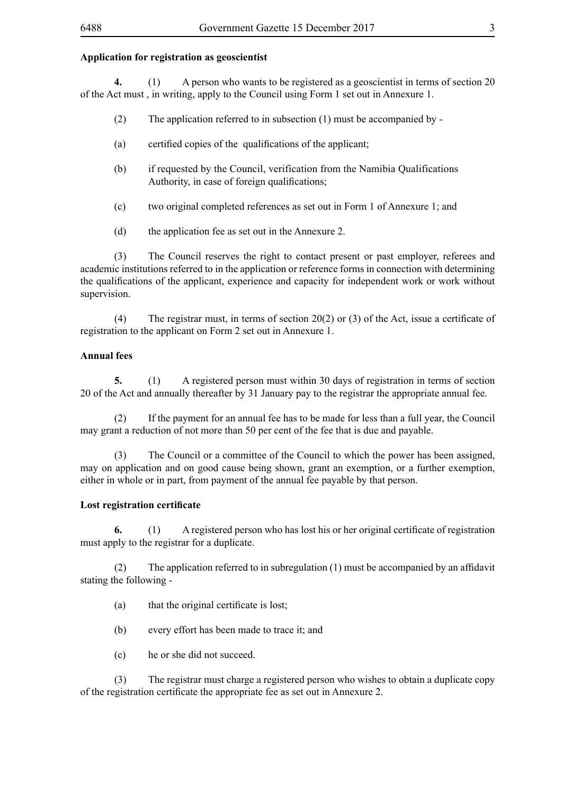# **Application for registration as geoscientist**

**4.** (1) A person who wants to be registered as a geoscientist in terms of section 20 of the Act must , in writing, apply to the Council using Form 1 set out in Annexure 1.

- (2) The application referred to in subsection (1) must be accompanied by -
- (a) certified copies of the qualifications of the applicant;
- (b) if requested by the Council, verification from the Namibia Qualifications Authority, in case of foreign qualifications;
- (c) two original completed references as set out in Form 1 of Annexure 1; and
- (d) the application fee as set out in the Annexure 2.

(3) The Council reserves the right to contact present or past employer, referees and academic institutions referred to in the application or reference forms in connection with determining the qualifications of the applicant, experience and capacity for independent work or work without supervision.

(4) The registrar must, in terms of section 20(2) or (3) of the Act, issue a certificate of registration to the applicant on Form 2 set out in Annexure 1.

# **Annual fees**

**5.** (1) A registered person must within 30 days of registration in terms of section 20 of the Act and annually thereafter by 31 January pay to the registrar the appropriate annual fee.

(2) If the payment for an annual fee has to be made for less than a full year, the Council may grant a reduction of not more than 50 per cent of the fee that is due and payable.

(3) The Council or a committee of the Council to which the power has been assigned, may on application and on good cause being shown, grant an exemption, or a further exemption, either in whole or in part, from payment of the annual fee payable by that person.

# **Lost registration certificate**

**6.** (1) A registered person who has lost his or her original certificate of registration must apply to the registrar for a duplicate.

(2) The application referred to in subregulation  $(1)$  must be accompanied by an affidavit stating the following -

- (a) that the original certificate is lost;
- (b) every effort has been made to trace it; and
- (c) he or she did not succeed.

(3) The registrar must charge a registered person who wishes to obtain a duplicate copy of the registration certificate the appropriate fee as set out in Annexure 2.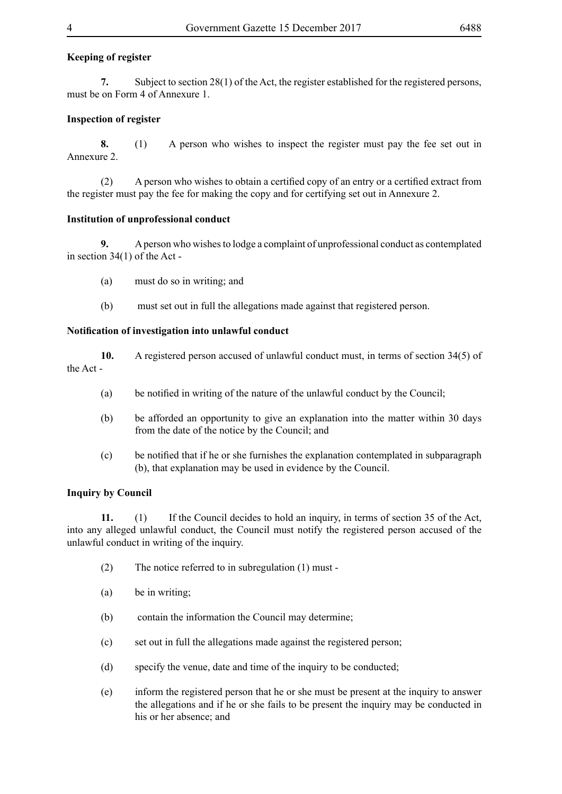# **Keeping of register**

**7.** Subject to section 28(1) of the Act, the register established for the registered persons, must be on Form 4 of Annexure 1.

# **Inspection of register**

**8.** (1) A person who wishes to inspect the register must pay the fee set out in Annexure 2.

 (2) A person who wishes to obtain a certified copy of an entry or a certified extract from the register must pay the fee for making the copy and for certifying set out in Annexure 2.

## **Institution of unprofessional conduct**

**9.** A person who wishes to lodge a complaint of unprofessional conduct as contemplated in section 34(1) of the Act -

- (a) must do so in writing; and
- (b) must set out in full the allegations made against that registered person.

#### **Notification of investigation into unlawful conduct**

- **10.** A registered person accused of unlawful conduct must, in terms of section 34(5) of the Act -
	- (a) be notified in writing of the nature of the unlawful conduct by the Council;
	- (b) be afforded an opportunity to give an explanation into the matter within 30 days from the date of the notice by the Council; and
	- (c) be notified that if he or she furnishes the explanation contemplated in subparagraph (b), that explanation may be used in evidence by the Council.

## **Inquiry by Council**

**11.** (1) If the Council decides to hold an inquiry, in terms of section 35 of the Act, into any alleged unlawful conduct, the Council must notify the registered person accused of the unlawful conduct in writing of the inquiry.

- (2) The notice referred to in subregulation (1) must -
- (a) be in writing;
- (b) contain the information the Council may determine;
- (c) set out in full the allegations made against the registered person;
- (d) specify the venue, date and time of the inquiry to be conducted;
- (e) inform the registered person that he or she must be present at the inquiry to answer the allegations and if he or she fails to be present the inquiry may be conducted in his or her absence; and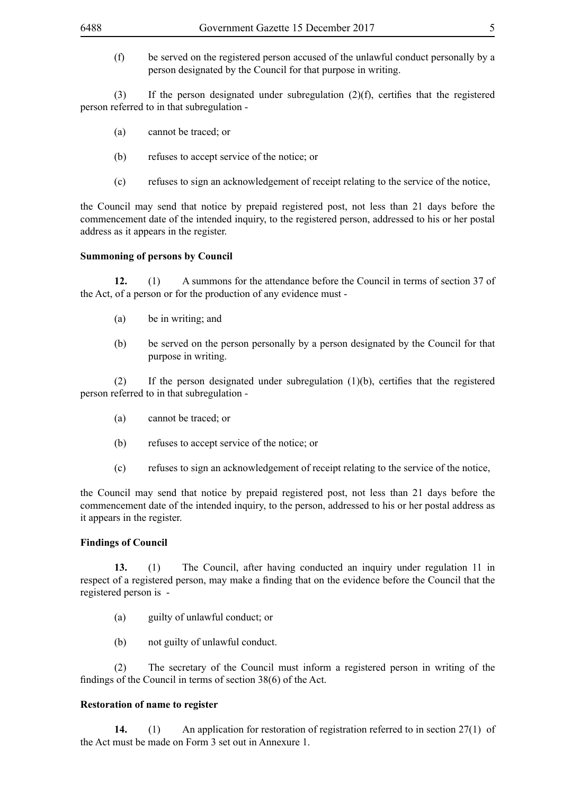(f) be served on the registered person accused of the unlawful conduct personally by a person designated by the Council for that purpose in writing.

(3) If the person designated under subregulation  $(2)(f)$ , certifies that the registered person referred to in that subregulation -

- (a) cannot be traced; or
- (b) refuses to accept service of the notice; or
- (c) refuses to sign an acknowledgement of receipt relating to the service of the notice,

the Council may send that notice by prepaid registered post, not less than 21 days before the commencement date of the intended inquiry, to the registered person, addressed to his or her postal address as it appears in the register.

#### **Summoning of persons by Council**

**12.** (1) A summons for the attendance before the Council in terms of section 37 of the Act, of a person or for the production of any evidence must -

- (a) be in writing; and
- (b) be served on the person personally by a person designated by the Council for that purpose in writing.

(2) If the person designated under subregulation  $(1)(b)$ , certifies that the registered person referred to in that subregulation -

- (a) cannot be traced; or
- (b) refuses to accept service of the notice; or
- (c) refuses to sign an acknowledgement of receipt relating to the service of the notice,

the Council may send that notice by prepaid registered post, not less than 21 days before the commencement date of the intended inquiry, to the person, addressed to his or her postal address as it appears in the register.

#### **Findings of Council**

**13.** (1) The Council, after having conducted an inquiry under regulation 11 in respect of a registered person, may make a finding that on the evidence before the Council that the registered person is -

- (a) guilty of unlawful conduct; or
- (b) not guilty of unlawful conduct.

(2) The secretary of the Council must inform a registered person in writing of the findings of the Council in terms of section 38(6) of the Act.

#### **Restoration of name to register**

**14.** (1) An application for restoration of registration referred to in section 27(1) of the Act must be made on Form 3 set out in Annexure 1.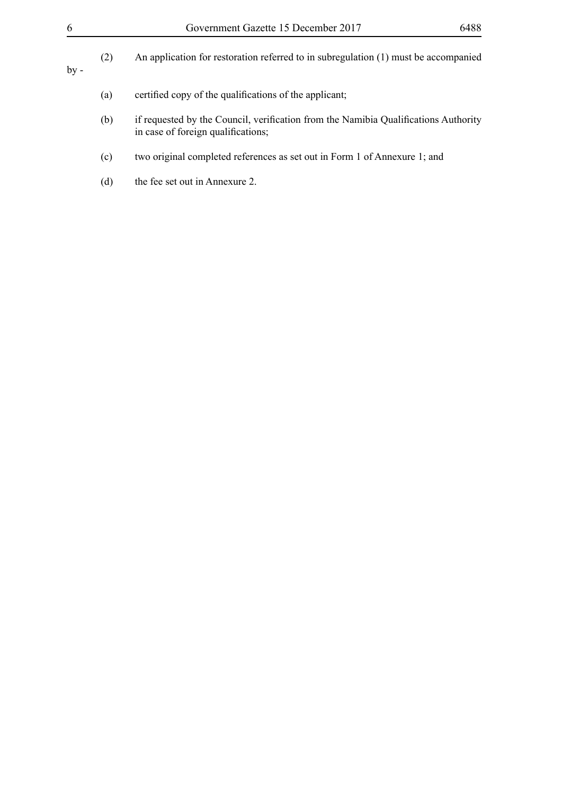- (b) if requested by the Council, verification from the Namibia Qualifications Authority in case of foreign qualifications;
- (c) two original completed references as set out in Form 1 of Annexure 1; and
- (d) the fee set out in Annexure 2.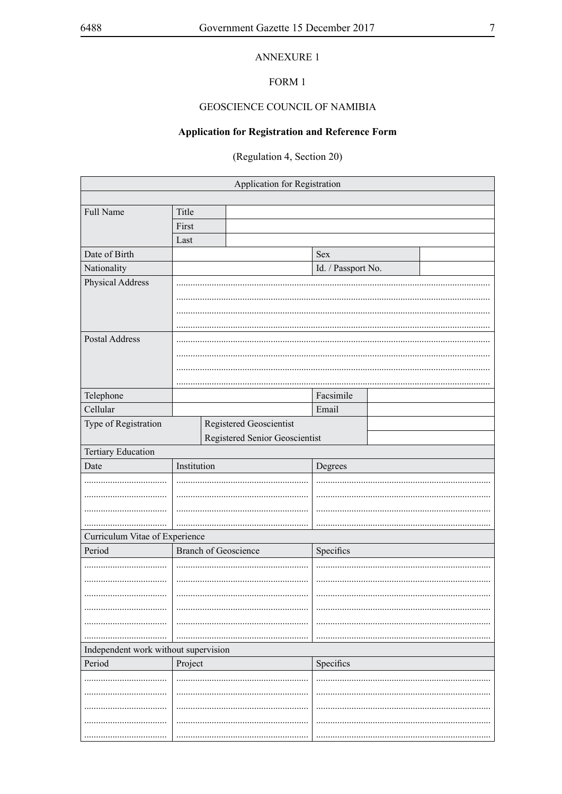# **ANNEXURE 1**

# FORM 1

# GEOSCIENCE COUNCIL OF NAMIBIA

# **Application for Registration and Reference Form**

(Regulation 4, Section 20)

| Application for Registration         |             |                                                           |                    |  |  |  |
|--------------------------------------|-------------|-----------------------------------------------------------|--------------------|--|--|--|
|                                      |             |                                                           |                    |  |  |  |
| Full Name                            | Title       |                                                           |                    |  |  |  |
|                                      | First       |                                                           |                    |  |  |  |
|                                      | Last        |                                                           |                    |  |  |  |
| Date of Birth                        |             |                                                           | Sex                |  |  |  |
| Nationality                          |             |                                                           | Id. / Passport No. |  |  |  |
| Physical Address                     |             |                                                           |                    |  |  |  |
|                                      |             |                                                           |                    |  |  |  |
|                                      |             |                                                           |                    |  |  |  |
|                                      |             |                                                           |                    |  |  |  |
| Postal Address                       |             |                                                           |                    |  |  |  |
|                                      |             |                                                           |                    |  |  |  |
|                                      |             |                                                           |                    |  |  |  |
|                                      |             |                                                           |                    |  |  |  |
| Telephone<br>Cellular                |             |                                                           | Facsimile          |  |  |  |
|                                      |             |                                                           | Email              |  |  |  |
| Type of Registration                 |             | Registered Geoscientist<br>Registered Senior Geoscientist |                    |  |  |  |
| Tertiary Education                   |             |                                                           |                    |  |  |  |
|                                      |             |                                                           |                    |  |  |  |
|                                      |             |                                                           |                    |  |  |  |
| Date                                 | Institution |                                                           | Degrees            |  |  |  |
|                                      |             |                                                           |                    |  |  |  |
|                                      |             |                                                           |                    |  |  |  |
|                                      |             |                                                           |                    |  |  |  |
|                                      |             |                                                           |                    |  |  |  |
| Curriculum Vitae of Experience       |             |                                                           |                    |  |  |  |
| Period                               |             | <b>Branch of Geoscience</b>                               | Specifics          |  |  |  |
|                                      |             |                                                           |                    |  |  |  |
|                                      |             |                                                           |                    |  |  |  |
|                                      |             |                                                           |                    |  |  |  |
|                                      |             |                                                           |                    |  |  |  |
|                                      |             |                                                           |                    |  |  |  |
| Independent work without supervision |             |                                                           |                    |  |  |  |
| Period                               | Project     |                                                           | Specifics          |  |  |  |
|                                      |             |                                                           |                    |  |  |  |
|                                      |             |                                                           |                    |  |  |  |
|                                      |             |                                                           |                    |  |  |  |
|                                      |             |                                                           |                    |  |  |  |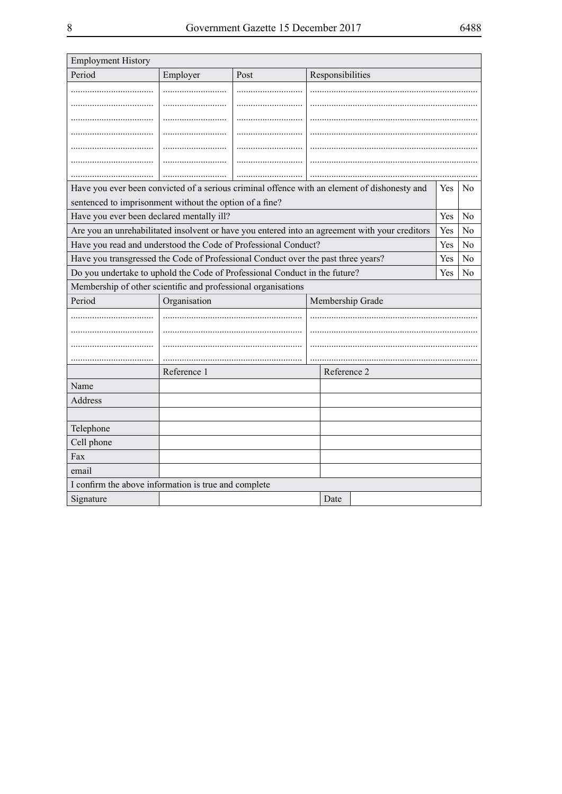| <b>Employment History</b>                                                                      |             |      |                  |  |     |                |  |
|------------------------------------------------------------------------------------------------|-------------|------|------------------|--|-----|----------------|--|
| Period                                                                                         | Employer    | Post | Responsibilities |  |     |                |  |
|                                                                                                |             |      |                  |  |     |                |  |
|                                                                                                |             |      |                  |  |     |                |  |
|                                                                                                |             |      |                  |  |     |                |  |
|                                                                                                |             |      |                  |  |     |                |  |
|                                                                                                |             |      |                  |  |     |                |  |
|                                                                                                |             |      |                  |  |     |                |  |
|                                                                                                |             |      |                  |  |     |                |  |
| Have you ever been convicted of a serious criminal offence with an element of dishonesty and   |             |      |                  |  | Yes | $\rm No$       |  |
| sentenced to imprisonment without the option of a fine?                                        |             |      |                  |  |     |                |  |
| Have you ever been declared mentally ill?                                                      |             |      |                  |  | Yes | N <sub>0</sub> |  |
| Are you an unrehabilitated insolvent or have you entered into an agreement with your creditors |             |      |                  |  | Yes | No             |  |
| Have you read and understood the Code of Professional Conduct?                                 |             |      |                  |  | Yes | N <sub>0</sub> |  |
| Have you transgressed the Code of Professional Conduct over the past three years?              |             |      |                  |  | Yes | N <sub>0</sub> |  |
| Do you undertake to uphold the Code of Professional Conduct in the future?                     |             |      |                  |  | Yes | N <sub>0</sub> |  |
| Membership of other scientific and professional organisations                                  |             |      |                  |  |     |                |  |
| Period<br>Organisation<br>Membership Grade                                                     |             |      |                  |  |     |                |  |
|                                                                                                |             |      |                  |  |     |                |  |
|                                                                                                |             |      |                  |  |     |                |  |
|                                                                                                |             |      |                  |  |     |                |  |
|                                                                                                |             |      |                  |  |     |                |  |
|                                                                                                | Reference 1 |      | Reference 2      |  |     |                |  |
| Name                                                                                           |             |      |                  |  |     |                |  |
| Address                                                                                        |             |      |                  |  |     |                |  |
|                                                                                                |             |      |                  |  |     |                |  |
| Telephone                                                                                      |             |      |                  |  |     |                |  |
| Cell phone                                                                                     |             |      |                  |  |     |                |  |
| Fax                                                                                            |             |      |                  |  |     |                |  |
| email                                                                                          |             |      |                  |  |     |                |  |
| I confirm the above information is true and complete                                           |             |      |                  |  |     |                |  |
| Signature                                                                                      |             |      | Date             |  |     |                |  |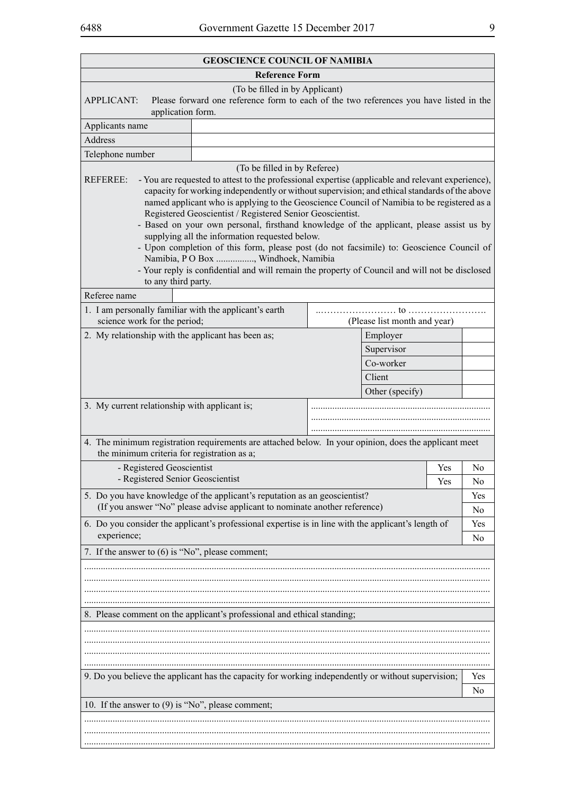| <b>GEOSCIENCE COUNCIL OF NAMIBIA</b>                                                                                                                                                                                                                                                                                                                                                                                                                                                                                                                                                                                                                                                                                                                                                                                                                                                                                                                                                                                                                |  |                     |     |                |  |  |  |
|-----------------------------------------------------------------------------------------------------------------------------------------------------------------------------------------------------------------------------------------------------------------------------------------------------------------------------------------------------------------------------------------------------------------------------------------------------------------------------------------------------------------------------------------------------------------------------------------------------------------------------------------------------------------------------------------------------------------------------------------------------------------------------------------------------------------------------------------------------------------------------------------------------------------------------------------------------------------------------------------------------------------------------------------------------|--|---------------------|-----|----------------|--|--|--|
| <b>Reference Form</b>                                                                                                                                                                                                                                                                                                                                                                                                                                                                                                                                                                                                                                                                                                                                                                                                                                                                                                                                                                                                                               |  |                     |     |                |  |  |  |
| (To be filled in by Applicant)<br>Please forward one reference form to each of the two references you have listed in the<br><b>APPLICANT:</b>                                                                                                                                                                                                                                                                                                                                                                                                                                                                                                                                                                                                                                                                                                                                                                                                                                                                                                       |  |                     |     |                |  |  |  |
| application form.                                                                                                                                                                                                                                                                                                                                                                                                                                                                                                                                                                                                                                                                                                                                                                                                                                                                                                                                                                                                                                   |  |                     |     |                |  |  |  |
| Applicants name                                                                                                                                                                                                                                                                                                                                                                                                                                                                                                                                                                                                                                                                                                                                                                                                                                                                                                                                                                                                                                     |  |                     |     |                |  |  |  |
| Address                                                                                                                                                                                                                                                                                                                                                                                                                                                                                                                                                                                                                                                                                                                                                                                                                                                                                                                                                                                                                                             |  |                     |     |                |  |  |  |
| Telephone number                                                                                                                                                                                                                                                                                                                                                                                                                                                                                                                                                                                                                                                                                                                                                                                                                                                                                                                                                                                                                                    |  |                     |     |                |  |  |  |
| (To be filled in by Referee)<br>- You are requested to attest to the professional expertise (applicable and relevant experience),<br><b>REFEREE:</b><br>capacity for working independently or without supervision; and ethical standards of the above<br>named applicant who is applying to the Geoscience Council of Namibia to be registered as a<br>Registered Geoscientist / Registered Senior Geoscientist.<br>- Based on your own personal, firsthand knowledge of the applicant, please assist us by<br>supplying all the information requested below.<br>- Upon completion of this form, please post (do not facsimile) to: Geoscience Council of<br>Namibia, PO Box , Windhoek, Namibia<br>- Your reply is confidential and will remain the property of Council and will not be disclosed<br>to any third party.<br>Referee name<br>1. I am personally familiar with the applicant's earth<br>science work for the period;<br>(Please list month and year)<br>2. My relationship with the applicant has been as;<br>Employer<br>Supervisor |  |                     |     |                |  |  |  |
|                                                                                                                                                                                                                                                                                                                                                                                                                                                                                                                                                                                                                                                                                                                                                                                                                                                                                                                                                                                                                                                     |  | Co-worker<br>Client |     |                |  |  |  |
|                                                                                                                                                                                                                                                                                                                                                                                                                                                                                                                                                                                                                                                                                                                                                                                                                                                                                                                                                                                                                                                     |  | Other (specify)     |     |                |  |  |  |
| 3. My current relationship with applicant is;<br>4. The minimum registration requirements are attached below. In your opinion, does the applicant meet<br>the minimum criteria for registration as a;                                                                                                                                                                                                                                                                                                                                                                                                                                                                                                                                                                                                                                                                                                                                                                                                                                               |  |                     |     |                |  |  |  |
| - Registered Geoscientist                                                                                                                                                                                                                                                                                                                                                                                                                                                                                                                                                                                                                                                                                                                                                                                                                                                                                                                                                                                                                           |  |                     | Yes | N <sub>0</sub> |  |  |  |
| - Registered Senior Geoscientist                                                                                                                                                                                                                                                                                                                                                                                                                                                                                                                                                                                                                                                                                                                                                                                                                                                                                                                                                                                                                    |  |                     | Yes | N <sub>0</sub> |  |  |  |
| 5. Do you have knowledge of the applicant's reputation as an geoscientist?<br>(If you answer "No" please advise applicant to nominate another reference)                                                                                                                                                                                                                                                                                                                                                                                                                                                                                                                                                                                                                                                                                                                                                                                                                                                                                            |  |                     |     | Yes<br>No      |  |  |  |
| 6. Do you consider the applicant's professional expertise is in line with the applicant's length of                                                                                                                                                                                                                                                                                                                                                                                                                                                                                                                                                                                                                                                                                                                                                                                                                                                                                                                                                 |  |                     |     | Yes            |  |  |  |
| experience;                                                                                                                                                                                                                                                                                                                                                                                                                                                                                                                                                                                                                                                                                                                                                                                                                                                                                                                                                                                                                                         |  |                     |     | No             |  |  |  |
| 7. If the answer to (6) is "No", please comment;                                                                                                                                                                                                                                                                                                                                                                                                                                                                                                                                                                                                                                                                                                                                                                                                                                                                                                                                                                                                    |  |                     |     |                |  |  |  |
|                                                                                                                                                                                                                                                                                                                                                                                                                                                                                                                                                                                                                                                                                                                                                                                                                                                                                                                                                                                                                                                     |  |                     |     |                |  |  |  |
| 8. Please comment on the applicant's professional and ethical standing;                                                                                                                                                                                                                                                                                                                                                                                                                                                                                                                                                                                                                                                                                                                                                                                                                                                                                                                                                                             |  |                     |     |                |  |  |  |
| 9. Do you believe the applicant has the capacity for working independently or without supervision;                                                                                                                                                                                                                                                                                                                                                                                                                                                                                                                                                                                                                                                                                                                                                                                                                                                                                                                                                  |  |                     |     | Yes            |  |  |  |
|                                                                                                                                                                                                                                                                                                                                                                                                                                                                                                                                                                                                                                                                                                                                                                                                                                                                                                                                                                                                                                                     |  |                     |     | N <sub>0</sub> |  |  |  |
| 10. If the answer to $(9)$ is "No", please comment;                                                                                                                                                                                                                                                                                                                                                                                                                                                                                                                                                                                                                                                                                                                                                                                                                                                                                                                                                                                                 |  |                     |     |                |  |  |  |
|                                                                                                                                                                                                                                                                                                                                                                                                                                                                                                                                                                                                                                                                                                                                                                                                                                                                                                                                                                                                                                                     |  |                     |     |                |  |  |  |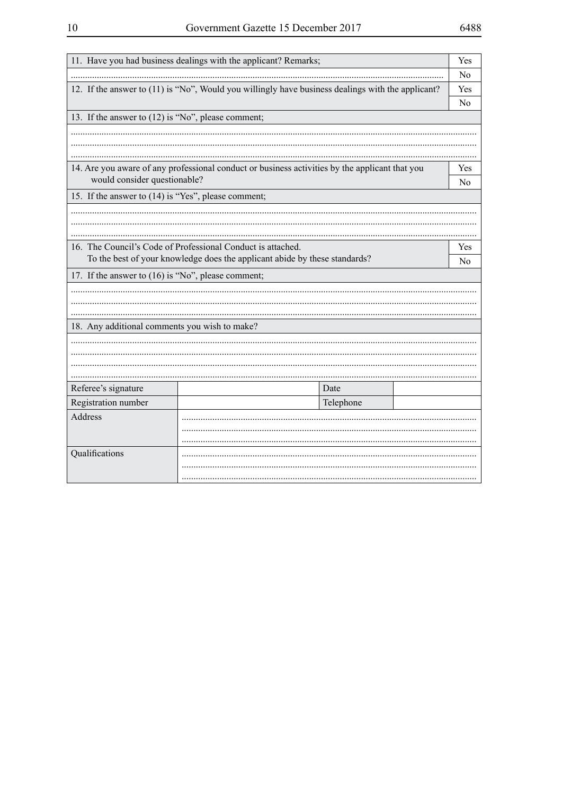| 11. Have you had business dealings with the applicant? Remarks;            |                                                                                                   |           |  |                       |  |  |  |
|----------------------------------------------------------------------------|---------------------------------------------------------------------------------------------------|-----------|--|-----------------------|--|--|--|
|                                                                            |                                                                                                   |           |  |                       |  |  |  |
|                                                                            | 12. If the answer to (11) is "No", Would you willingly have business dealings with the applicant? |           |  | Yes                   |  |  |  |
|                                                                            |                                                                                                   |           |  | No                    |  |  |  |
| 13. If the answer to (12) is "No", please comment;                         |                                                                                                   |           |  |                       |  |  |  |
|                                                                            |                                                                                                   |           |  |                       |  |  |  |
|                                                                            |                                                                                                   |           |  |                       |  |  |  |
|                                                                            |                                                                                                   |           |  |                       |  |  |  |
|                                                                            | 14. Are you aware of any professional conduct or business activities by the applicant that you    |           |  | Yes                   |  |  |  |
| would consider questionable?                                               |                                                                                                   |           |  | No                    |  |  |  |
| 15. If the answer to (14) is "Yes", please comment;                        |                                                                                                   |           |  |                       |  |  |  |
|                                                                            |                                                                                                   |           |  |                       |  |  |  |
|                                                                            |                                                                                                   |           |  |                       |  |  |  |
|                                                                            |                                                                                                   |           |  |                       |  |  |  |
| 16. The Council's Code of Professional Conduct is attached.                |                                                                                                   |           |  | Yes<br>N <sub>0</sub> |  |  |  |
| To the best of your knowledge does the applicant abide by these standards? |                                                                                                   |           |  |                       |  |  |  |
| 17. If the answer to (16) is "No", please comment;                         |                                                                                                   |           |  |                       |  |  |  |
|                                                                            |                                                                                                   |           |  |                       |  |  |  |
|                                                                            |                                                                                                   |           |  |                       |  |  |  |
|                                                                            |                                                                                                   |           |  |                       |  |  |  |
|                                                                            | 18. Any additional comments you wish to make?                                                     |           |  |                       |  |  |  |
|                                                                            |                                                                                                   |           |  |                       |  |  |  |
|                                                                            |                                                                                                   |           |  |                       |  |  |  |
|                                                                            |                                                                                                   |           |  |                       |  |  |  |
| Referee's signature                                                        |                                                                                                   | Date      |  |                       |  |  |  |
| Registration number                                                        |                                                                                                   | Telephone |  |                       |  |  |  |
| Address                                                                    |                                                                                                   |           |  |                       |  |  |  |
|                                                                            |                                                                                                   |           |  |                       |  |  |  |
|                                                                            |                                                                                                   |           |  |                       |  |  |  |
| Qualifications                                                             |                                                                                                   |           |  |                       |  |  |  |
|                                                                            |                                                                                                   |           |  |                       |  |  |  |
|                                                                            |                                                                                                   |           |  |                       |  |  |  |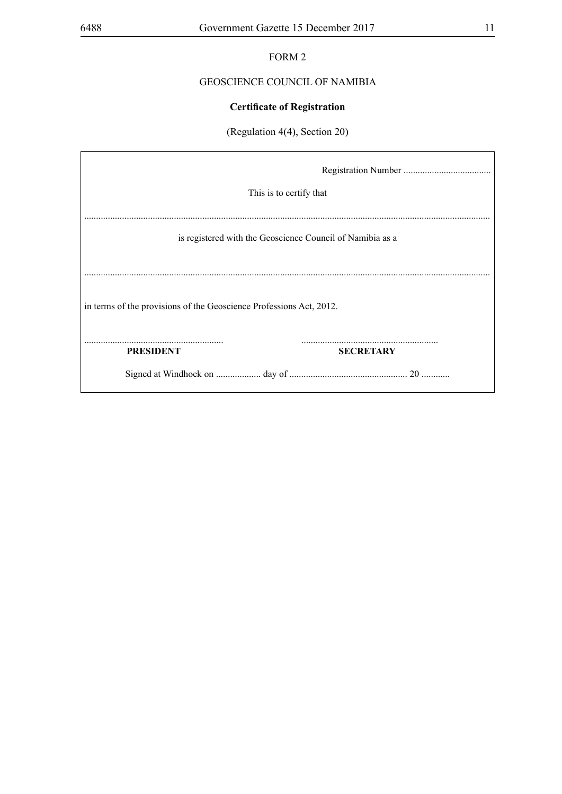# FORM 2

# GEOSCIENCE COUNCIL OF NAMIBIA

# **Certificate of Registration**

# (Regulation 4(4), Section 20)

|                                                                     | This is to certify that                                   |  |  |  |  |  |
|---------------------------------------------------------------------|-----------------------------------------------------------|--|--|--|--|--|
|                                                                     | is registered with the Geoscience Council of Namibia as a |  |  |  |  |  |
| in terms of the provisions of the Geoscience Professions Act, 2012. |                                                           |  |  |  |  |  |
| <b>PRESIDENT</b>                                                    | <b>SECRETARY</b>                                          |  |  |  |  |  |
|                                                                     |                                                           |  |  |  |  |  |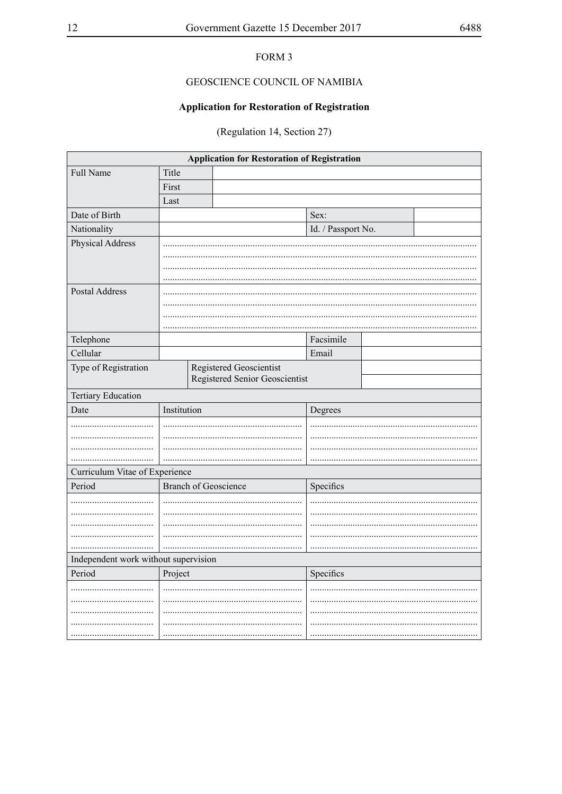# FORM 3

# GEOSCIENCE COUNCIL OF NAMIBIA

# **Application for Restoration of Registration**

(Regulation 14, Section 27)

| <b>Application for Restoration of Registration</b> |             |                                |                    |  |  |  |
|----------------------------------------------------|-------------|--------------------------------|--------------------|--|--|--|
| Full Name                                          | Title       |                                |                    |  |  |  |
|                                                    | First       |                                |                    |  |  |  |
|                                                    | Last        |                                |                    |  |  |  |
| Date of Birth                                      |             |                                | Sex:               |  |  |  |
| Nationality                                        |             |                                | Id. / Passport No. |  |  |  |
| Physical Address                                   |             |                                |                    |  |  |  |
|                                                    |             |                                |                    |  |  |  |
|                                                    |             |                                |                    |  |  |  |
|                                                    |             |                                |                    |  |  |  |
| <b>Postal Address</b>                              |             |                                |                    |  |  |  |
|                                                    |             |                                |                    |  |  |  |
|                                                    |             |                                |                    |  |  |  |
| Telephone                                          |             |                                | Facsimile          |  |  |  |
| Cellular                                           |             |                                | Email              |  |  |  |
| Type of Registration                               |             | Registered Geoscientist        |                    |  |  |  |
|                                                    |             | Registered Senior Geoscientist |                    |  |  |  |
| Tertiary Education                                 |             |                                |                    |  |  |  |
| Date                                               | Institution |                                | Degrees            |  |  |  |
|                                                    |             |                                |                    |  |  |  |
|                                                    |             |                                |                    |  |  |  |
|                                                    |             |                                |                    |  |  |  |
|                                                    |             |                                |                    |  |  |  |
| Curriculum Vitae of Experience                     |             |                                |                    |  |  |  |
| Period                                             |             |                                |                    |  |  |  |
|                                                    |             | <b>Branch of Geoscience</b>    | Specifics          |  |  |  |
|                                                    |             |                                |                    |  |  |  |
|                                                    |             |                                |                    |  |  |  |
|                                                    |             |                                |                    |  |  |  |
|                                                    |             |                                |                    |  |  |  |
|                                                    |             |                                |                    |  |  |  |
| Independent work without supervision<br>Period     |             |                                |                    |  |  |  |
|                                                    | Project     |                                | Specifics          |  |  |  |
|                                                    |             |                                |                    |  |  |  |
|                                                    |             |                                |                    |  |  |  |
|                                                    |             |                                |                    |  |  |  |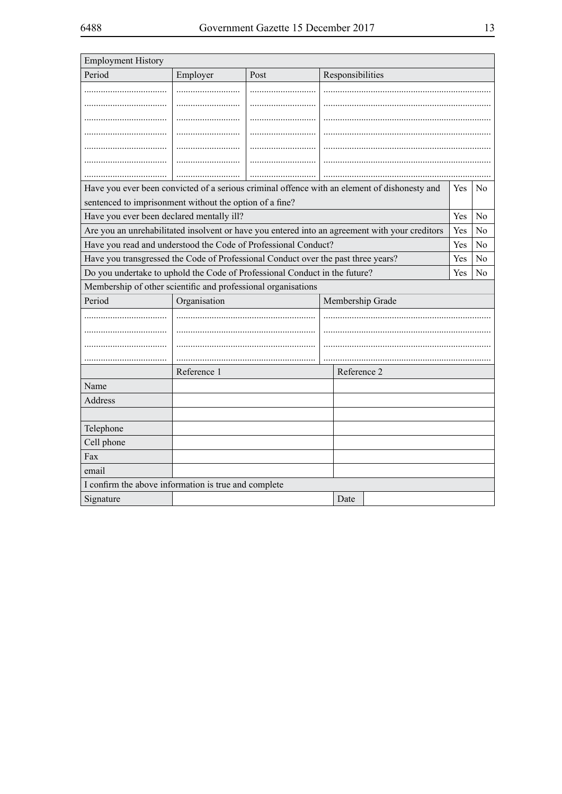| <b>Employment History</b>                                                                      |              |      |                  |  |     |                |  |
|------------------------------------------------------------------------------------------------|--------------|------|------------------|--|-----|----------------|--|
| Period                                                                                         | Employer     | Post | Responsibilities |  |     |                |  |
|                                                                                                |              |      |                  |  |     |                |  |
|                                                                                                |              |      |                  |  |     |                |  |
|                                                                                                |              |      |                  |  |     |                |  |
|                                                                                                |              |      |                  |  |     |                |  |
|                                                                                                |              |      |                  |  |     |                |  |
|                                                                                                |              |      |                  |  |     |                |  |
|                                                                                                |              |      |                  |  |     |                |  |
| Have you ever been convicted of a serious criminal offence with an element of dishonesty and   |              |      |                  |  | Yes | N <sub>0</sub> |  |
| sentenced to imprisonment without the option of a fine?                                        |              |      |                  |  |     |                |  |
| Have you ever been declared mentally ill?                                                      |              |      |                  |  | Yes | N <sub>o</sub> |  |
| Are you an unrehabilitated insolvent or have you entered into an agreement with your creditors |              |      |                  |  | Yes | No.            |  |
| Have you read and understood the Code of Professional Conduct?                                 |              |      |                  |  | Yes | N <sub>0</sub> |  |
| Have you transgressed the Code of Professional Conduct over the past three years?              |              |      |                  |  | Yes | N <sub>0</sub> |  |
| Do you undertake to uphold the Code of Professional Conduct in the future?                     |              |      |                  |  | Yes | No             |  |
| Membership of other scientific and professional organisations                                  |              |      |                  |  |     |                |  |
| Period                                                                                         | Organisation |      | Membership Grade |  |     |                |  |
|                                                                                                |              |      |                  |  |     |                |  |
|                                                                                                |              |      |                  |  |     |                |  |
|                                                                                                |              |      |                  |  |     |                |  |
|                                                                                                |              |      |                  |  |     |                |  |
|                                                                                                | Reference 1  |      | Reference 2      |  |     |                |  |
| Name                                                                                           |              |      |                  |  |     |                |  |
| Address                                                                                        |              |      |                  |  |     |                |  |
|                                                                                                |              |      |                  |  |     |                |  |
| Telephone                                                                                      |              |      |                  |  |     |                |  |
| Cell phone                                                                                     |              |      |                  |  |     |                |  |
| Fax                                                                                            |              |      |                  |  |     |                |  |
| email                                                                                          |              |      |                  |  |     |                |  |
| I confirm the above information is true and complete                                           |              |      |                  |  |     |                |  |
| Signature                                                                                      |              |      | Date             |  |     |                |  |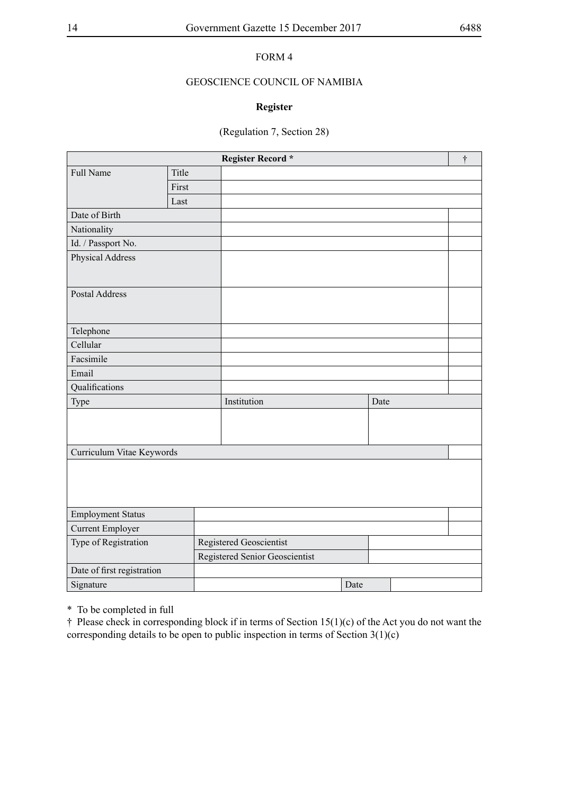# FORM 4

# GEOSCIENCE COUNCIL OF NAMIBIA

# **Register**

# (Regulation 7, Section 28)

| Register Record *          |       |  |                                |  |      | $\dagger$ |  |  |
|----------------------------|-------|--|--------------------------------|--|------|-----------|--|--|
| Full Name                  | Title |  |                                |  |      |           |  |  |
|                            | First |  |                                |  |      |           |  |  |
|                            | Last  |  |                                |  |      |           |  |  |
| Date of Birth              |       |  |                                |  |      |           |  |  |
| Nationality                |       |  |                                |  |      |           |  |  |
| Id. / Passport No.         |       |  |                                |  |      |           |  |  |
| Physical Address           |       |  |                                |  |      |           |  |  |
|                            |       |  |                                |  |      |           |  |  |
| <b>Postal Address</b>      |       |  |                                |  |      |           |  |  |
|                            |       |  |                                |  |      |           |  |  |
| Telephone                  |       |  |                                |  |      |           |  |  |
| Cellular                   |       |  |                                |  |      |           |  |  |
| Facsimile                  |       |  |                                |  |      |           |  |  |
| Email                      |       |  |                                |  |      |           |  |  |
| Qualifications             |       |  |                                |  |      |           |  |  |
| Type                       |       |  | Institution                    |  |      | Date      |  |  |
|                            |       |  |                                |  |      |           |  |  |
|                            |       |  |                                |  |      |           |  |  |
|                            |       |  |                                |  |      |           |  |  |
| Curriculum Vitae Keywords  |       |  |                                |  |      |           |  |  |
|                            |       |  |                                |  |      |           |  |  |
|                            |       |  |                                |  |      |           |  |  |
|                            |       |  |                                |  |      |           |  |  |
| <b>Employment Status</b>   |       |  |                                |  |      |           |  |  |
| <b>Current Employer</b>    |       |  |                                |  |      |           |  |  |
| Type of Registration       |       |  | Registered Geoscientist        |  |      |           |  |  |
|                            |       |  | Registered Senior Geoscientist |  |      |           |  |  |
| Date of first registration |       |  |                                |  |      |           |  |  |
| Signature                  |       |  |                                |  | Date |           |  |  |

\* To be completed in full

† Please check in corresponding block if in terms of Section 15(1)(c) of the Act you do not want the corresponding details to be open to public inspection in terms of Section  $3(1)(c)$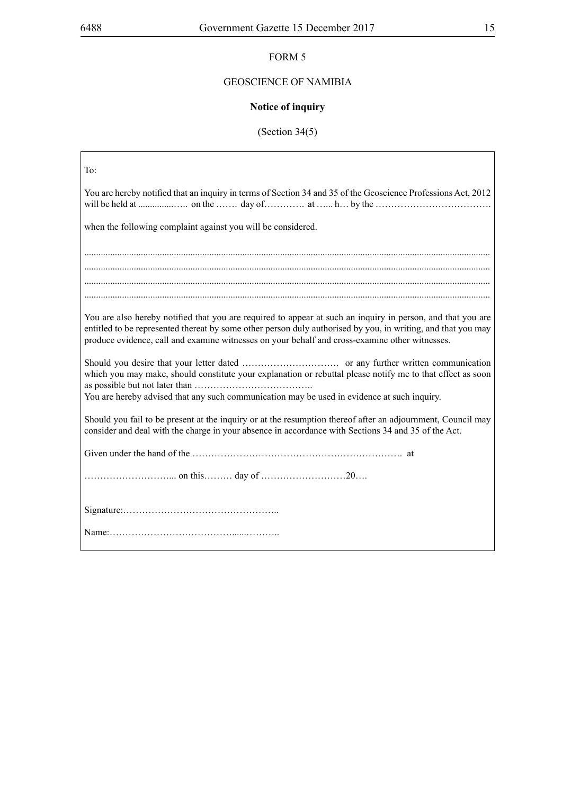# GEOSCIENCE OF NAMIBIA

# **Notice of inquiry**

# (Section 34(5)

| To:                                                                                                                                                                                                                                                                                                                           |
|-------------------------------------------------------------------------------------------------------------------------------------------------------------------------------------------------------------------------------------------------------------------------------------------------------------------------------|
| You are hereby notified that an inquiry in terms of Section 34 and 35 of the Geoscience Professions Act, 2012                                                                                                                                                                                                                 |
| when the following complaint against you will be considered.                                                                                                                                                                                                                                                                  |
|                                                                                                                                                                                                                                                                                                                               |
|                                                                                                                                                                                                                                                                                                                               |
|                                                                                                                                                                                                                                                                                                                               |
| You are also hereby notified that you are required to appear at such an inquiry in person, and that you are<br>entitled to be represented thereat by some other person duly authorised by you, in writing, and that you may<br>produce evidence, call and examine witnesses on your behalf and cross-examine other witnesses. |
| which you may make, should constitute your explanation or rebuttal please notify me to that effect as soon                                                                                                                                                                                                                    |
| You are hereby advised that any such communication may be used in evidence at such inquiry.                                                                                                                                                                                                                                   |
|                                                                                                                                                                                                                                                                                                                               |
| Should you fail to be present at the inquiry or at the resumption thereof after an adjournment, Council may<br>consider and deal with the charge in your absence in accordance with Sections 34 and 35 of the Act.                                                                                                            |
|                                                                                                                                                                                                                                                                                                                               |
|                                                                                                                                                                                                                                                                                                                               |
|                                                                                                                                                                                                                                                                                                                               |
|                                                                                                                                                                                                                                                                                                                               |
|                                                                                                                                                                                                                                                                                                                               |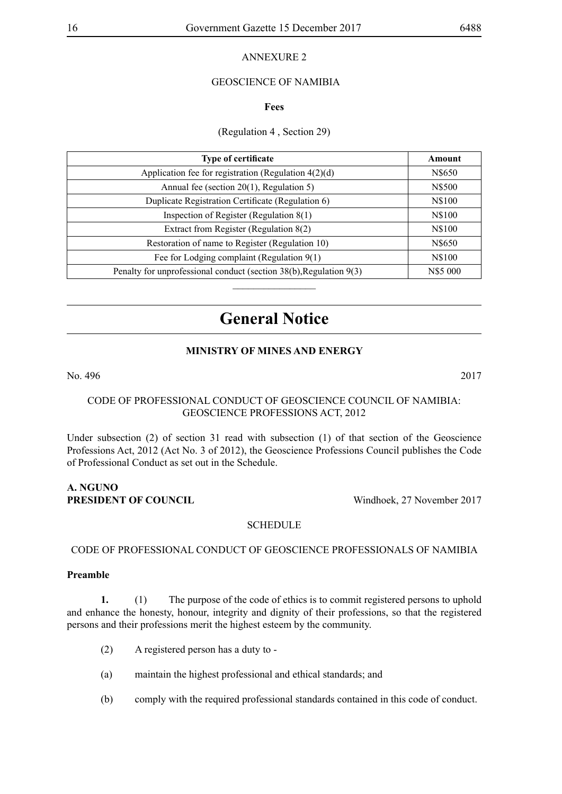# ANNEXURE 2

# GEOSCIENCE OF NAMIBIA

#### **Fees**

# (Regulation 4 , Section 29)

| <b>Type of certificate</b>                                         | Amount   |
|--------------------------------------------------------------------|----------|
| Application fee for registration (Regulation $4(2)(d)$ )           | N\$650   |
| Annual fee (section $20(1)$ , Regulation 5)                        | N\$500   |
| Duplicate Registration Certificate (Regulation 6)                  | N\$100   |
| Inspection of Register (Regulation 8(1)                            | N\$100   |
| Extract from Register (Regulation 8(2)                             | N\$100   |
| Restoration of name to Register (Regulation 10)                    | N\$650   |
| Fee for Lodging complaint (Regulation $9(1)$ )                     | N\$100   |
| Penalty for unprofessional conduct (section 38(b), Regulation 9(3) | N\$5 000 |
|                                                                    |          |

# **General Notice**

# **MINISTRY OF MINES AND ENERGY**

No. 496 2017

# CODE OF PROFESSIONAL CONDUCT OF GEOSCIENCE COUNCIL OF NAMIBIA: GEOSCIENCE PROFESSIONS ACT, 2012

Under subsection (2) of section 31 read with subsection (1) of that section of the Geoscience Professions Act, 2012 (Act No. 3 of 2012), the Geoscience Professions Council publishes the Code of Professional Conduct as set out in the Schedule.

#### **A. Nguno PRESIDENT OF COUNCIL** Windhoek, 27 November 2017

## **SCHEDULE**

#### CODE OF PROFESSIONAL CONDUCT OF GEOSCIENCE PROFESSIONALS OF NAMIBIA

#### **Preamble**

**1.** (1) The purpose of the code of ethics is to commit registered persons to uphold and enhance the honesty, honour, integrity and dignity of their professions, so that the registered persons and their professions merit the highest esteem by the community.

- (2) A registered person has a duty to -
- (a) maintain the highest professional and ethical standards; and
- (b) comply with the required professional standards contained in this code of conduct.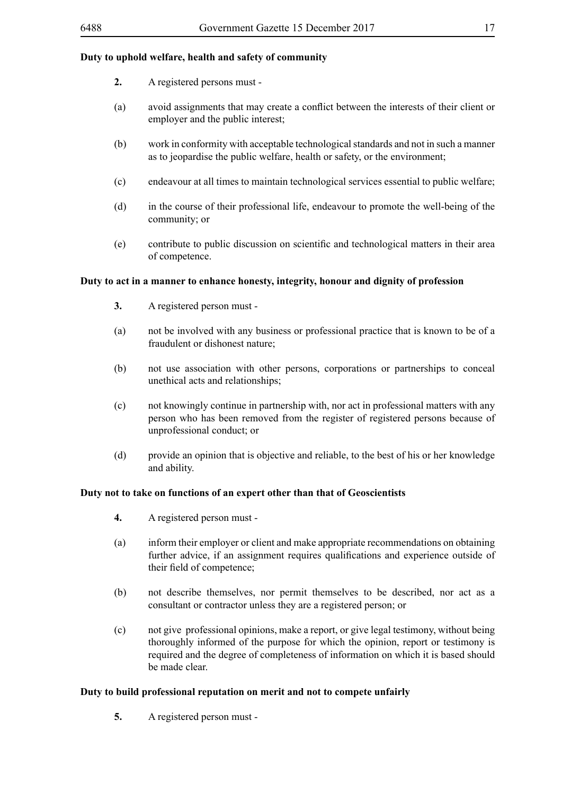# **Duty to uphold welfare, health and safety of community**

- **2.** A registered persons must -
- (a) avoid assignments that may create a conflict between the interests of their client or employer and the public interest;
- (b) work in conformity with acceptable technological standards and not in such a manner as to jeopardise the public welfare, health or safety, or the environment;
- (c) endeavour at all times to maintain technological services essential to public welfare;
- (d) in the course of their professional life, endeavour to promote the well-being of the community; or
- (e) contribute to public discussion on scientific and technological matters in their area of competence.

#### **Duty to act in a manner to enhance honesty, integrity, honour and dignity of profession**

- **3.** A registered person must -
- (a) not be involved with any business or professional practice that is known to be of a fraudulent or dishonest nature;
- (b) not use association with other persons, corporations or partnerships to conceal unethical acts and relationships;
- (c) not knowingly continue in partnership with, nor act in professional matters with any person who has been removed from the register of registered persons because of unprofessional conduct; or
- (d) provide an opinion that is objective and reliable, to the best of his or her knowledge and ability.

## **Duty not to take on functions of an expert other than that of Geoscientists**

- **4.** A registered person must -
- (a) inform their employer or client and make appropriate recommendations on obtaining further advice, if an assignment requires qualifications and experience outside of their field of competence;
- (b) not describe themselves, nor permit themselves to be described, nor act as a consultant or contractor unless they are a registered person; or
- (c) not give professional opinions, make a report, or give legal testimony, without being thoroughly informed of the purpose for which the opinion, report or testimony is required and the degree of completeness of information on which it is based should be made clear.

#### **Duty to build professional reputation on merit and not to compete unfairly**

**5.** A registered person must -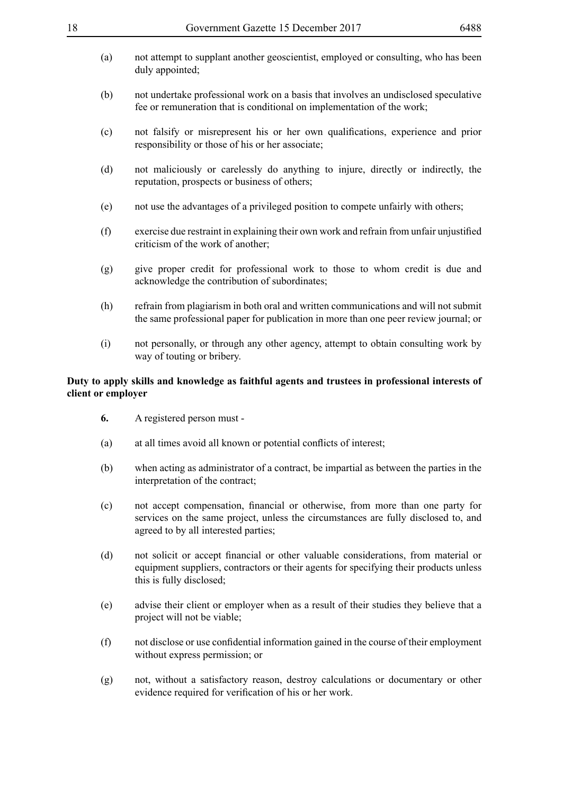- (a) not attempt to supplant another geoscientist, employed or consulting, who has been duly appointed;
- (b) not undertake professional work on a basis that involves an undisclosed speculative fee or remuneration that is conditional on implementation of the work;
- (c) not falsify or misrepresent his or her own qualifications, experience and prior responsibility or those of his or her associate;
- (d) not maliciously or carelessly do anything to injure, directly or indirectly, the reputation, prospects or business of others;
- (e) not use the advantages of a privileged position to compete unfairly with others;
- (f) exercise due restraint in explaining their own work and refrain from unfair unjustified criticism of the work of another;
- (g) give proper credit for professional work to those to whom credit is due and acknowledge the contribution of subordinates;
- (h) refrain from plagiarism in both oral and written communications and will not submit the same professional paper for publication in more than one peer review journal; or
- (i) not personally, or through any other agency, attempt to obtain consulting work by way of touting or bribery.

## **Duty to apply skills and knowledge as faithful agents and trustees in professional interests of client or employer**

- **6.** A registered person must -
- (a) at all times avoid all known or potential conflicts of interest;
- (b) when acting as administrator of a contract, be impartial as between the parties in the interpretation of the contract;
- (c) not accept compensation, financial or otherwise, from more than one party for services on the same project, unless the circumstances are fully disclosed to, and agreed to by all interested parties;
- (d) not solicit or accept financial or other valuable considerations, from material or equipment suppliers, contractors or their agents for specifying their products unless this is fully disclosed;
- (e) advise their client or employer when as a result of their studies they believe that a project will not be viable;
- (f) not disclose or use confidential information gained in the course of their employment without express permission; or
- (g) not, without a satisfactory reason, destroy calculations or documentary or other evidence required for verification of his or her work.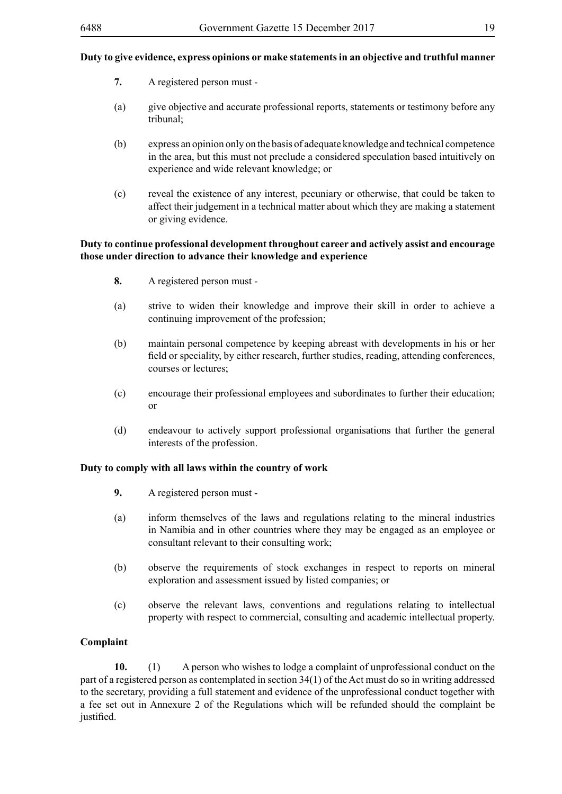- **7.** A registered person must -
- (a) give objective and accurate professional reports, statements or testimony before any tribunal;
- (b) express an opinion only on the basis of adequate knowledge and technical competence in the area, but this must not preclude a considered speculation based intuitively on experience and wide relevant knowledge; or
- (c) reveal the existence of any interest, pecuniary or otherwise, that could be taken to affect their judgement in a technical matter about which they are making a statement or giving evidence.

# **Duty to continue professional development throughout career and actively assist and encourage those under direction to advance their knowledge and experience**

- **8.** A registered person must -
- (a) strive to widen their knowledge and improve their skill in order to achieve a continuing improvement of the profession;
- (b) maintain personal competence by keeping abreast with developments in his or her field or speciality, by either research, further studies, reading, attending conferences, courses or lectures;
- (c) encourage their professional employees and subordinates to further their education; or
- (d) endeavour to actively support professional organisations that further the general interests of the profession.

# **Duty to comply with all laws within the country of work**

- **9.** A registered person must -
- (a) inform themselves of the laws and regulations relating to the mineral industries in Namibia and in other countries where they may be engaged as an employee or consultant relevant to their consulting work;
- (b) observe the requirements of stock exchanges in respect to reports on mineral exploration and assessment issued by listed companies; or
- (c) observe the relevant laws, conventions and regulations relating to intellectual property with respect to commercial, consulting and academic intellectual property.

# **Complaint**

**10.** (1) A person who wishes to lodge a complaint of unprofessional conduct on the part of a registered person as contemplated in section 34(1) of the Act must do so in writing addressed to the secretary, providing a full statement and evidence of the unprofessional conduct together with a fee set out in Annexure 2 of the Regulations which will be refunded should the complaint be justified.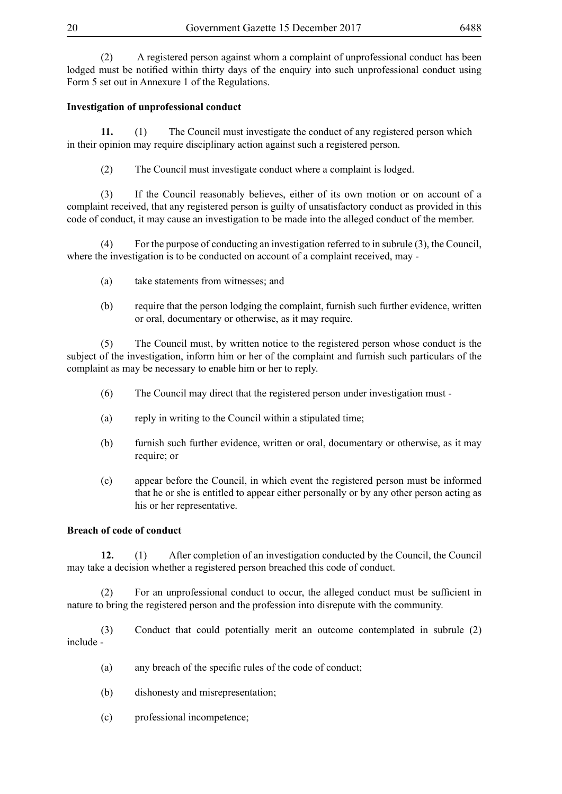(2) A registered person against whom a complaint of unprofessional conduct has been lodged must be notified within thirty days of the enquiry into such unprofessional conduct using Form 5 set out in Annexure 1 of the Regulations.

# **Investigation of unprofessional conduct**

**11.** (1) The Council must investigate the conduct of any registered person which in their opinion may require disciplinary action against such a registered person.

(2) The Council must investigate conduct where a complaint is lodged.

(3) If the Council reasonably believes, either of its own motion or on account of a complaint received, that any registered person is guilty of unsatisfactory conduct as provided in this code of conduct, it may cause an investigation to be made into the alleged conduct of the member.

(4) For the purpose of conducting an investigation referred to in subrule (3), the Council, where the investigation is to be conducted on account of a complaint received, may -

- (a) take statements from witnesses; and
- (b) require that the person lodging the complaint, furnish such further evidence, written or oral, documentary or otherwise, as it may require.

(5) The Council must, by written notice to the registered person whose conduct is the subject of the investigation, inform him or her of the complaint and furnish such particulars of the complaint as may be necessary to enable him or her to reply.

- (6) The Council may direct that the registered person under investigation must -
- (a) reply in writing to the Council within a stipulated time;
- (b) furnish such further evidence, written or oral, documentary or otherwise, as it may require; or
- (c) appear before the Council, in which event the registered person must be informed that he or she is entitled to appear either personally or by any other person acting as his or her representative.

# **Breach of code of conduct**

**12.** (1) After completion of an investigation conducted by the Council, the Council may take a decision whether a registered person breached this code of conduct.

(2) For an unprofessional conduct to occur, the alleged conduct must be sufficient in nature to bring the registered person and the profession into disrepute with the community.

(3) Conduct that could potentially merit an outcome contemplated in subrule (2) include -

- (a) any breach of the specific rules of the code of conduct;
- (b) dishonesty and misrepresentation;
- (c) professional incompetence;